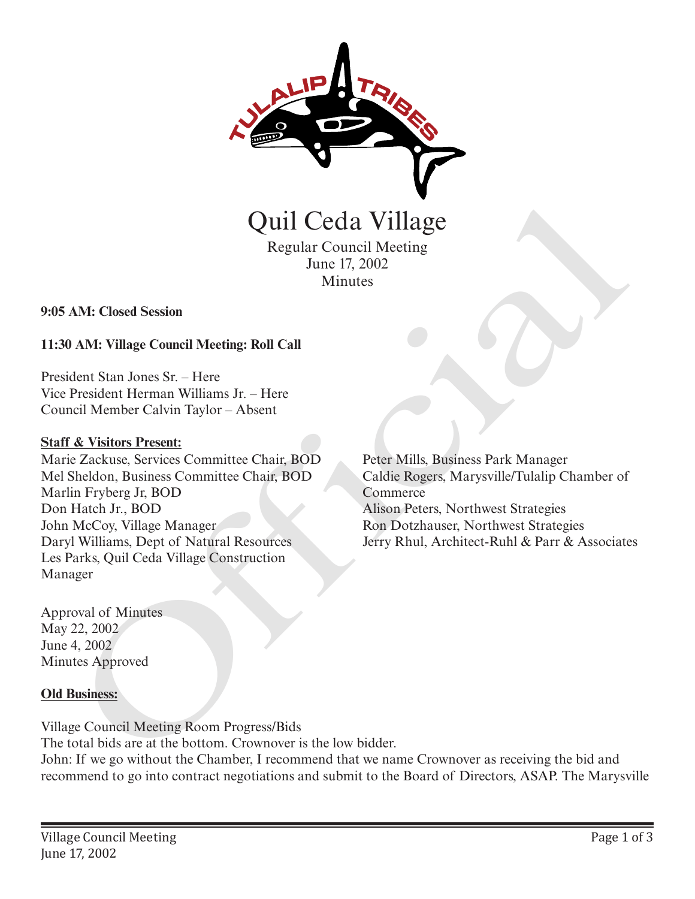

Regular Council Meeting June 17, 2002 Minutes

**9:05 AM: Closed Session**

# **11:30 AM: Village Council Meeting: Roll Call**

President Stan Jones Sr. – Here Vice President Herman Williams Jr. – Here Council Member Calvin Taylor – Absent

### **Staff & Visitors Present:**

Marie Zackuse, Services Committee Chair, BOD Mel Sheldon, Business Committee Chair, BOD Marlin Fryberg Jr, BOD Don Hatch Jr., BOD John McCoy, Village Manager Daryl Williams, Dept of Natural Resources Les Parks, Quil Ceda Village Construction Manager **CHATACH CONTROVIDE CONTROVIDED**<br>
Regular Council Meeting<br>
June 17, 2002<br>
Minutes<br>
AM: Closed Session<br>
AM: Village Council Meeting: Roll Call<br>
dent Stan Jones Sr. – Here<br>
President Herman Williams Jr. – Here<br>
President Her

Peter Mills, Business Park Manager Caldie Rogers, Marysville/Tulalip Chamber of Commerce Alison Peters, Northwest Strategies Ron Dotzhauser, Northwest Strategies Jerry Rhul, Architect-Ruhl & Parr & Associates

Approval of Minutes May 22, 2002 June 4, 2002 Minutes Approved

### **Old Business:**

Village Council Meeting Room Progress/Bids The total bids are at the bottom. Crownover is the low bidder. John: If we go without the Chamber, I recommend that we name Crownover as receiving the bid and recommend to go into contract negotiations and submit to the Board of Directors, ASAP. The Marysville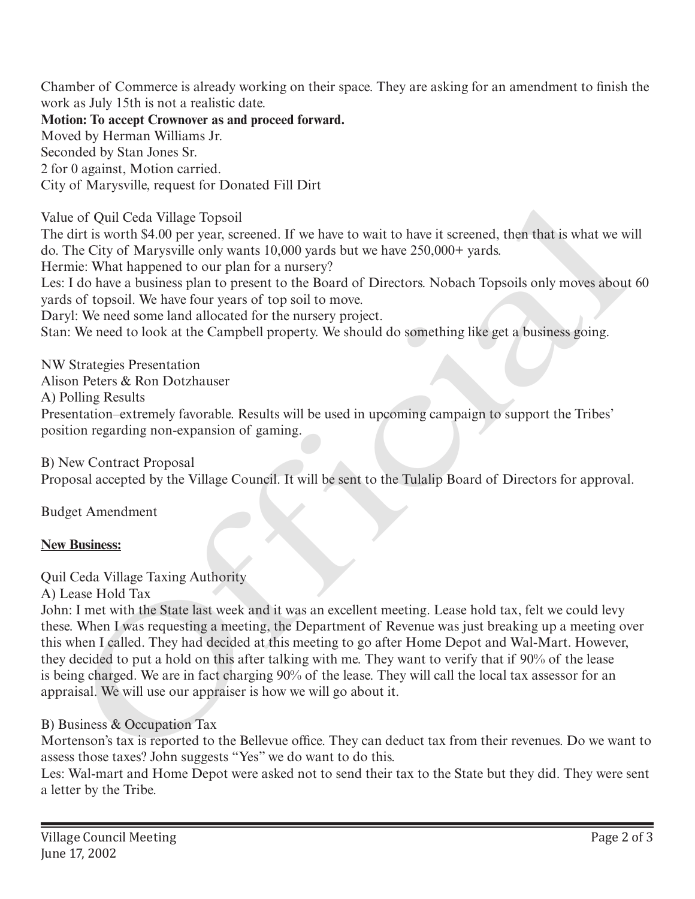Chamber of Commerce is already working on their space. They are asking for an amendment to finish the work as July 15th is not a realistic date.

**Motion: To accept Crownover as and proceed forward.** Moved by Herman Williams Jr. Seconded by Stan Jones Sr. 2 for 0 against, Motion carried. City of Marysville, request for Donated Fill Dirt

Value of Quil Ceda Village Topsoil

The dirt is worth \$4.00 per year, screened. If we have to wait to have it screened, then that is what we will do. The City of Marysville only wants 10,000 yards but we have 250,000+ yards.

Hermie: What happened to our plan for a nursery?

Les: I do have a business plan to present to the Board of Directors. Nobach Topsoils only moves about 60 yards of topsoil. We have four years of top soil to move.

Daryl: We need some land allocated for the nursery project.

Stan: We need to look at the Campbell property. We should do something like get a business going.

NW Strategies Presentation Alison Peters & Ron Dotzhauser A) Polling Results Presentation–extremely favorable. Results will be used in upcoming campaign to support the Tribes' position regarding non-expansion of gaming.

B) New Contract Proposal Proposal accepted by the Village Council. It will be sent to the Tulalip Board of Directors for approval.

Budget Amendment

# **New Business:**

Quil Ceda Village Taxing Authority

A) Lease Hold Tax

John: I met with the State last week and it was an excellent meeting. Lease hold tax, felt we could levy these. When I was requesting a meeting, the Department of Revenue was just breaking up a meeting over this when I called. They had decided at this meeting to go after Home Depot and Wal-Mart. However, they decided to put a hold on this after talking with me. They want to verify that if 90% of the lease is being charged. We are in fact charging 90% of the lease. They will call the local tax assessor for an appraisal. We will use our appraiser is how we will go about it. it is worth \$4.0 0) per year, serected. If we have to wait to have it sereconed, then that is what we will the SOI of Patagraphy and  $0.000$  years and  $0.000$  years and  $0.000$  years and  $0.000$  years and  $0.000$  years and

# B) Business & Occupation Tax

Mortenson's tax is reported to the Bellevue office. They can deduct tax from their revenues. Do we want to assess those taxes? John suggests "Yes" we do want to do this.

Les: Wal-mart and Home Depot were asked not to send their tax to the State but they did. They were sent a letter by the Tribe.